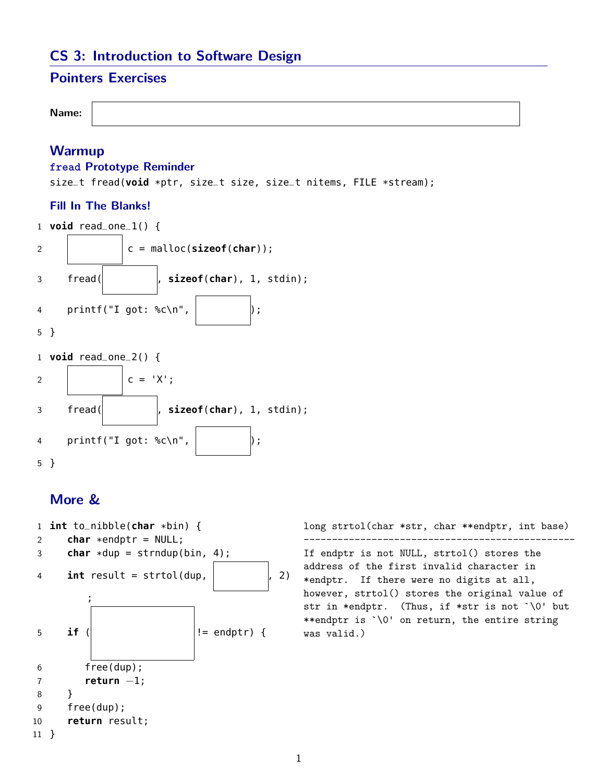# **CS 3: Introduction to Software Design**

## **Pointers Exercises**

```
Name:
```
### **Warmup**

#### **fread Prototype Reminder**

size\_t fread(**void** \*ptr, size\_t size, size\_t nitems, FILE \*stream);

#### **Fill In The Blanks!**



### **More &**



long strtol(char \*str, char \*\*endptr, int base) ------------------------------------------------ If endptr is not NULL, strtol() stores the address of the first invalid character in \*endptr. If there were no digits at all, however, strtol() stores the original value of str in \*endptr. (Thus, if \*str is not `\0' but \*\*endptr is `\0' on return, the entire string was valid.)